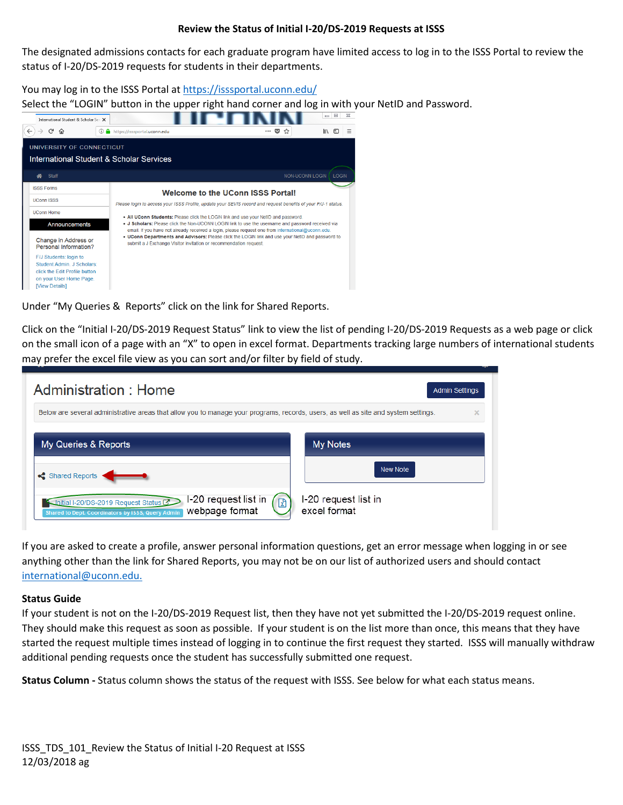## **Review the Status of Initial I-20/DS-2019 Requests at ISSS**

The designated admissions contacts for each graduate program have limited access to log in to the ISSS Portal to review the status of I-20/DS-2019 requests for students in their departments.

You may log in to the ISSS Portal at<https://isssportal.uconn.edu/>

Select the "LOGIN" button in the upper right hand corner and log in with your NetID and Password.



Under "My Queries & Reports" click on the link for Shared Reports.

Click on the "Initial I-20/DS-2019 Request Status" link to view the list of pending I-20/DS-2019 Requests as a web page or click on the small icon of a page with an "X" to open in excel format. Departments tracking large numbers of international students may prefer the excel file view as you can sort and/or filter by field of study.



If you are asked to create a profile, answer personal information questions, get an error message when logging in or see anything other than the link for Shared Reports, you may not be on our list of authorized users and should contact [international@uconn.edu.](mailto:international@uconn.edu)

## **Status Guide**

If your student is not on the I-20/DS-2019 Request list, then they have not yet submitted the I-20/DS-2019 request online. They should make this request as soon as possible. If your student is on the list more than once, this means that they have started the request multiple times instead of logging in to continue the first request they started. ISSS will manually withdraw additional pending requests once the student has successfully submitted one request.

**Status Column -** Status column shows the status of the request with ISSS. See below for what each status means.